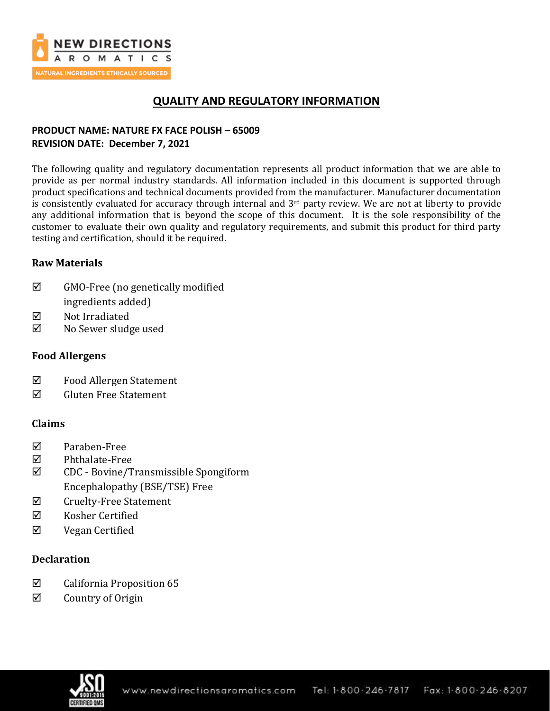

# **QUALITY AND REGULATORY INFORMATION**

## **PRODUCT NAME: NATURE FX FACE POLISH – 65009 REVISION DATE: December 7, 2021**

The following quality and regulatory documentation represents all product information that we are able to provide as per normal industry standards. All information included in this document is supported through product specifications and technical documents provided from the manufacturer. Manufacturer documentation is consistently evaluated for accuracy through internal and 3<sup>rd</sup> party review. We are not at liberty to provide any additional information that is beyond the scope of this document. It is the sole responsibility of the customer to evaluate their own quality and regulatory requirements, and submit this product for third party testing and certification, should it be required.

## **Raw Materials**

- $\boxtimes$  GMO-Free (no genetically modified ingredients added)
- **Ø** Not Irradiated
- No Sewer sludge used

## **Food Allergens**

- Food Allergen Statement
- $\boxtimes$  Gluten Free Statement

## **Claims**

- Paraben-Free
- Phthalate-Free
- CDC Bovine/Transmissible Spongiform Encephalopathy (BSE/TSE) Free
- $\boxtimes$  Cruelty-Free Statement
- $\boxtimes$  Kosher Certified
- Vegan Certified

## **Declaration**

- $\boxtimes$  California Proposition 65
- $\boxtimes$  Country of Origin

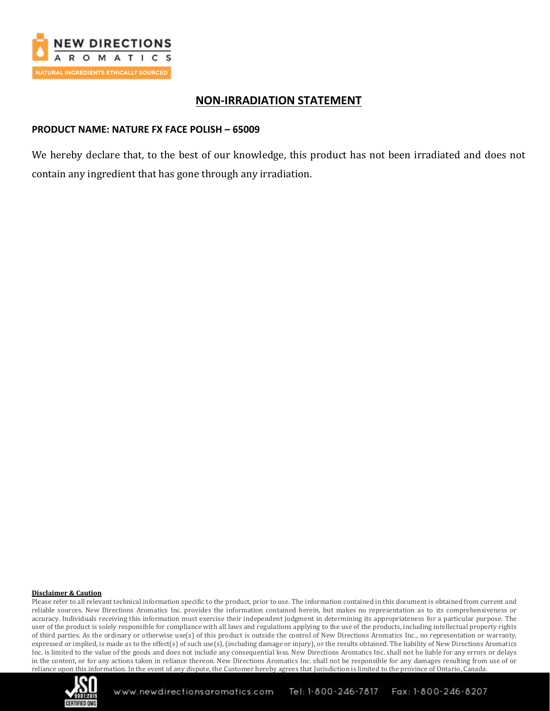

## **NON-IRRADIATION STATEMENT**

## **PRODUCT NAME: NATURE FX FACE POLISH – 65009**

We hereby declare that, to the best of our knowledge, this product has not been irradiated and does not contain any ingredient that has gone through any irradiation.

### **Disclaimer & Caution**

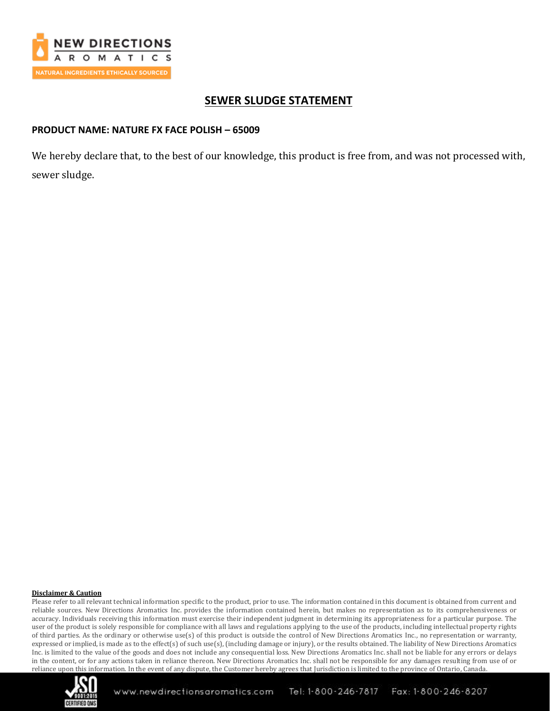

## **SEWER SLUDGE STATEMENT**

## **PRODUCT NAME: NATURE FX FACE POLISH – 65009**

We hereby declare that, to the best of our knowledge, this product is free from, and was not processed with, sewer sludge.

### **Disclaimer & Caution**

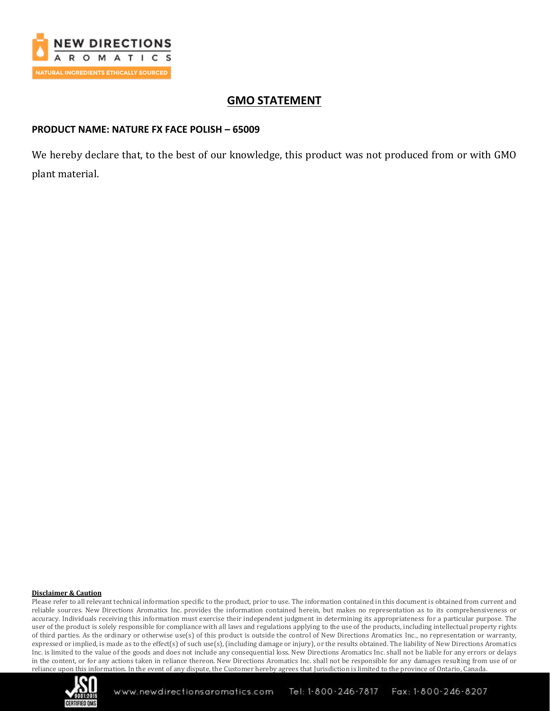

# **GMO STATEMENT**

## **PRODUCT NAME: NATURE FX FACE POLISH – 65009**

We hereby declare that, to the best of our knowledge, this product was not produced from or with GMO plant material.

### **Disclaimer & Caution**

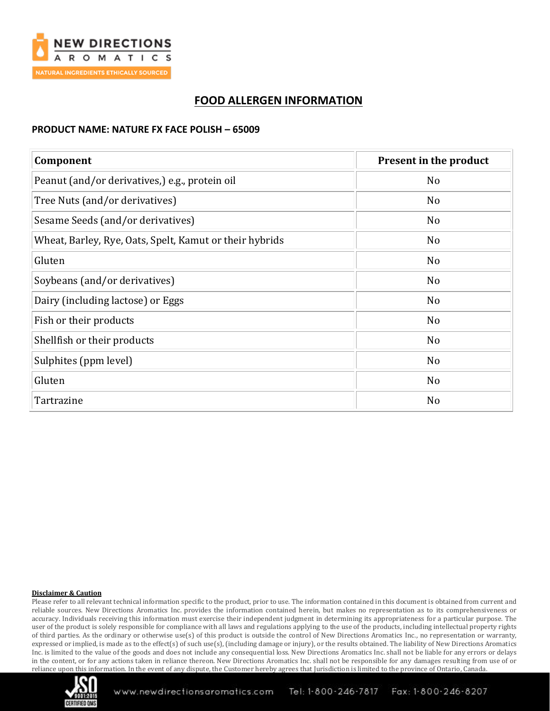

# **FOOD ALLERGEN INFORMATION**

### **PRODUCT NAME: NATURE FX FACE POLISH – 65009**

| Component                                               | Present in the product |
|---------------------------------------------------------|------------------------|
| Peanut (and/or derivatives,) e.g., protein oil          | N <sub>o</sub>         |
| Tree Nuts (and/or derivatives)                          | N <sub>o</sub>         |
| Sesame Seeds (and/or derivatives)                       | No                     |
| Wheat, Barley, Rye, Oats, Spelt, Kamut or their hybrids | No                     |
| Gluten                                                  | N <sub>o</sub>         |
| Soybeans (and/or derivatives)                           | N <sub>o</sub>         |
| Dairy (including lactose) or Eggs                       | N <sub>o</sub>         |
| Fish or their products                                  | N <sub>o</sub>         |
| Shellfish or their products                             | No                     |
| Sulphites (ppm level)                                   | No                     |
| Gluten                                                  | No                     |
| Tartrazine                                              | N <sub>o</sub>         |

### **Disclaimer & Caution**

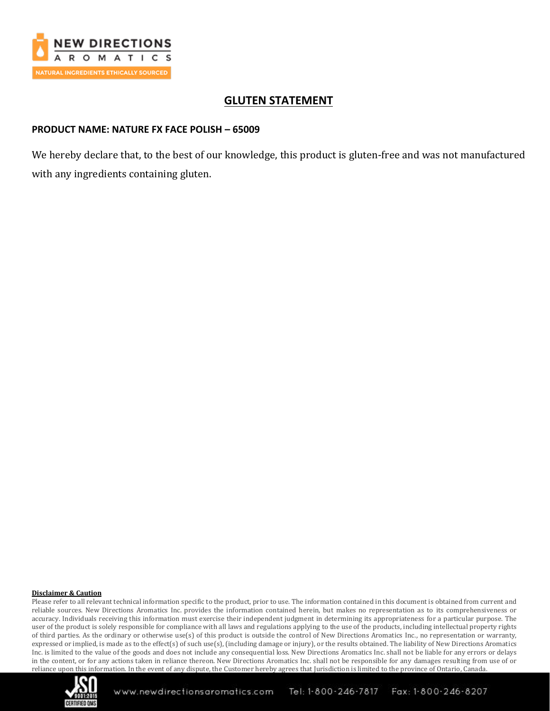

# **GLUTEN STATEMENT**

## **PRODUCT NAME: NATURE FX FACE POLISH – 65009**

We hereby declare that, to the best of our knowledge, this product is gluten-free and was not manufactured with any ingredients containing gluten.

### **Disclaimer & Caution**

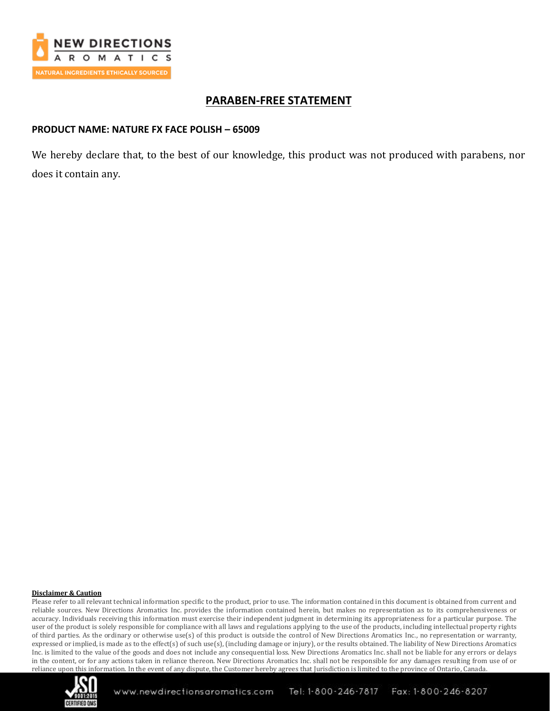

## **PARABEN-FREE STATEMENT**

### **PRODUCT NAME: NATURE FX FACE POLISH – 65009**

We hereby declare that, to the best of our knowledge, this product was not produced with parabens, nor does it contain any.

### **Disclaimer & Caution**

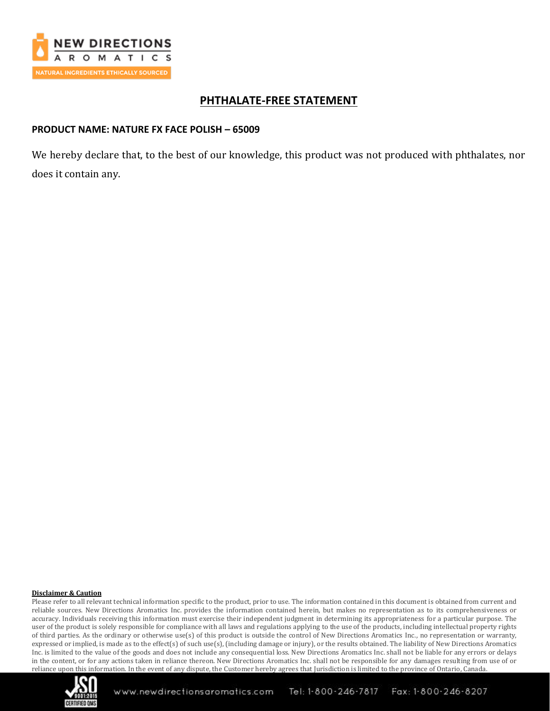

## **PHTHALATE-FREE STATEMENT**

## **PRODUCT NAME: NATURE FX FACE POLISH – 65009**

We hereby declare that, to the best of our knowledge, this product was not produced with phthalates, nor does it contain any.

### **Disclaimer & Caution**

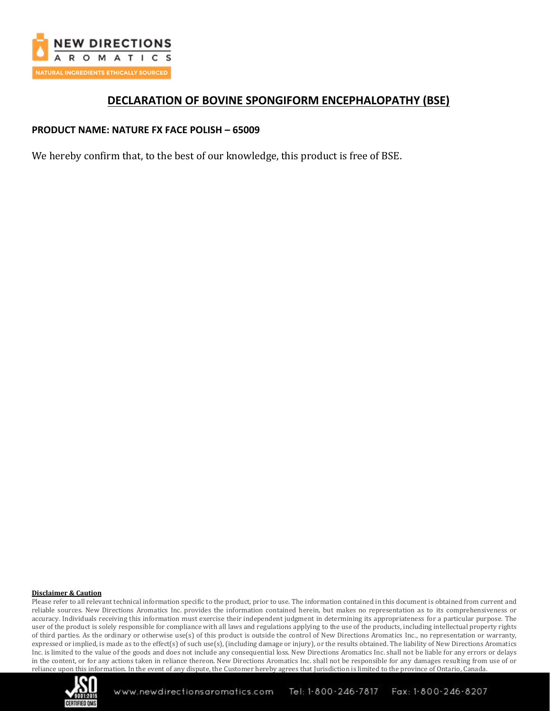

## **DECLARATION OF BOVINE SPONGIFORM ENCEPHALOPATHY (BSE)**

## **PRODUCT NAME: NATURE FX FACE POLISH – 65009**

We hereby confirm that, to the best of our knowledge, this product is free of BSE.

### **Disclaimer & Caution**

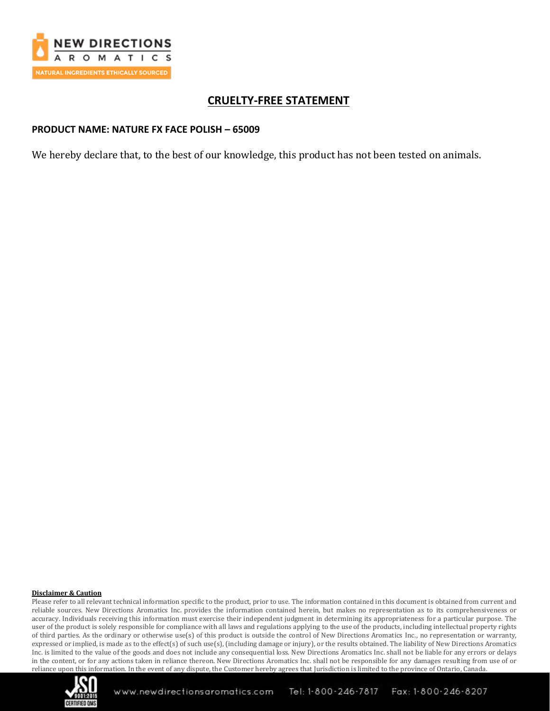

# **CRUELTY-FREE STATEMENT**

### **PRODUCT NAME: NATURE FX FACE POLISH – 65009**

We hereby declare that, to the best of our knowledge, this product has not been tested on animals.

### **Disclaimer & Caution**

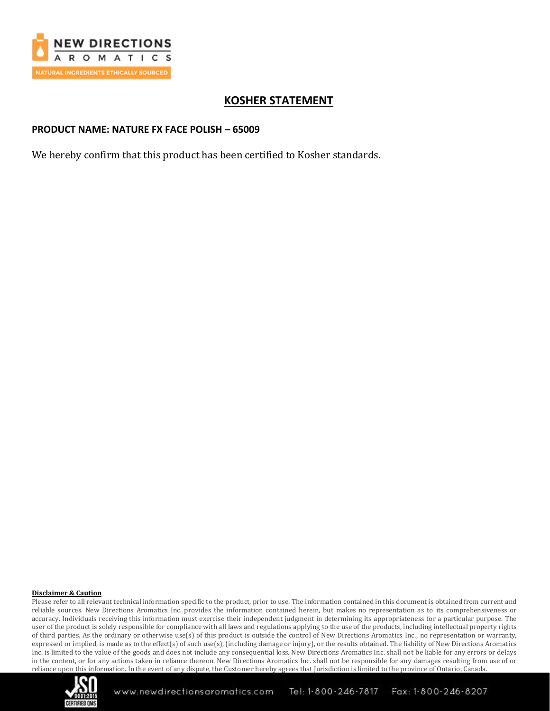

# **KOSHER STATEMENT**

### **PRODUCT NAME: NATURE FX FACE POLISH – 65009**

We hereby confirm that this product has been certified to Kosher standards.

### **Disclaimer & Caution**

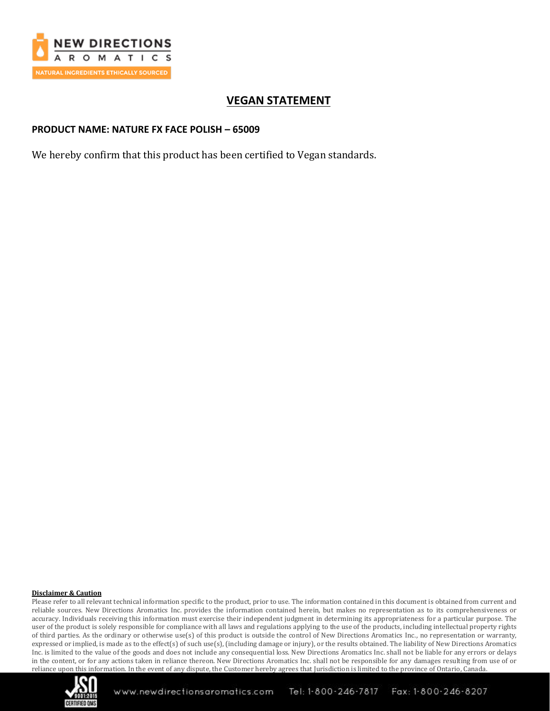

# **VEGAN STATEMENT**

### **PRODUCT NAME: NATURE FX FACE POLISH – 65009**

We hereby confirm that this product has been certified to Vegan standards.

### **Disclaimer & Caution**

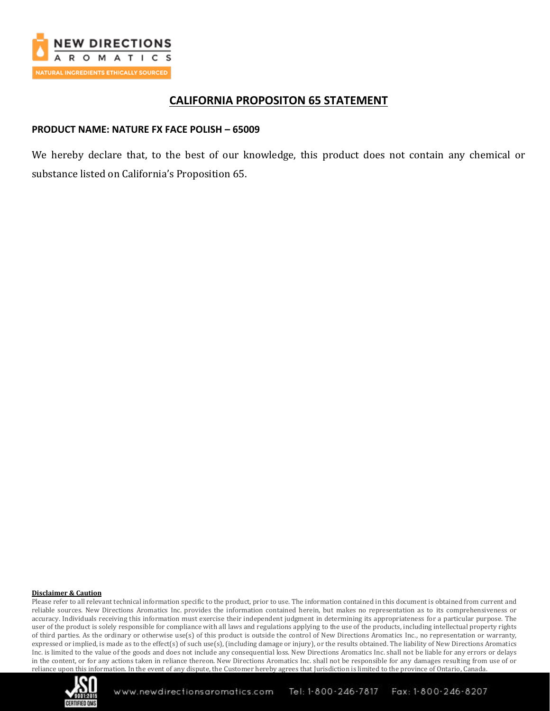

## **CALIFORNIA PROPOSITON 65 STATEMENT**

## **PRODUCT NAME: NATURE FX FACE POLISH – 65009**

We hereby declare that, to the best of our knowledge, this product does not contain any chemical or substance listed on California's Proposition 65.

### **Disclaimer & Caution**